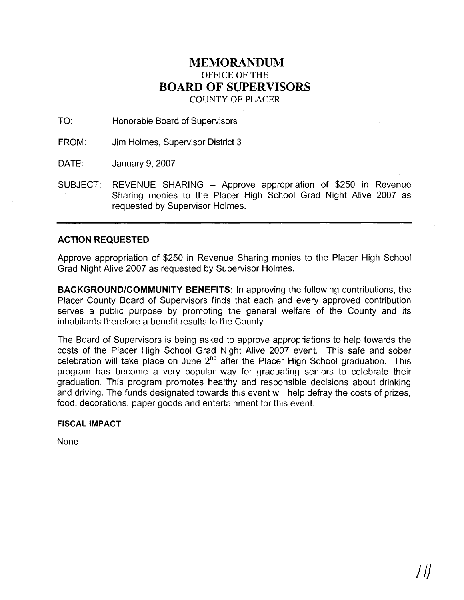### **MEMORANDUM**  OFFICE OF THE **BOARD OF SUPERVISORS**  COUNTY OF PLACER

TO: Honorable Board of Supervisors

FROM: Jim Holmes, Supervisor District 3

DATE: January 9, 2007

SUBJECT: REVENUE SHARING - Approve appropriation of \$250 in Revenue Sharing monies to the Placer High School Grad Night Alive 2007 as requested by Supervisor Holmes.

#### **ACTION REQUESTED**

Approve appropriation of \$250 in Revenue Sharing monies to the Placer High School Grad Night Alive 2007 as requested by Supervisor Holmes.

**BACKGROUNDICOMMUNITY BENEFITS:** In approving the following contributions, the Placer County Board of Supervisors finds that each and every approved contribution serves a public purpose by promoting the general welfare of the County and its inhabitants therefore a benefit results to the County.

The Board of Supervisors is being asked to approve appropriations to help towards the costs of the Placer High School Grad Night Alive 2007 event. This safe and sober celebration will take place on June **2nd** after the Placer High School graduation. This program has become a very popular way for graduating seniors to celebrate their graduation. This program promotes healthy and responsible decisions about drinking and driving. The funds designated towards this event will help defray the costs of prizes, food, decorations, paper goods and entertainment for this event.

#### **FISCAL IMPACT**

None